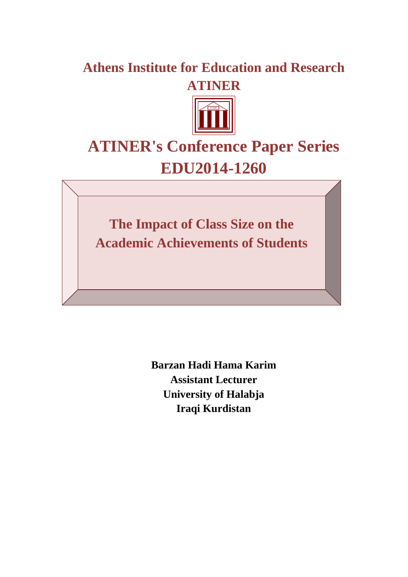## **Athens Institute for Education and Research ATINER**



# **ATINER's Conference Paper Series EDU2014-1260**

**The Impact of Class Size on the Academic Achievements of Students**

> **Barzan Hadi Hama Karim Assistant Lecturer University of Halabja Iraqi Kurdistan**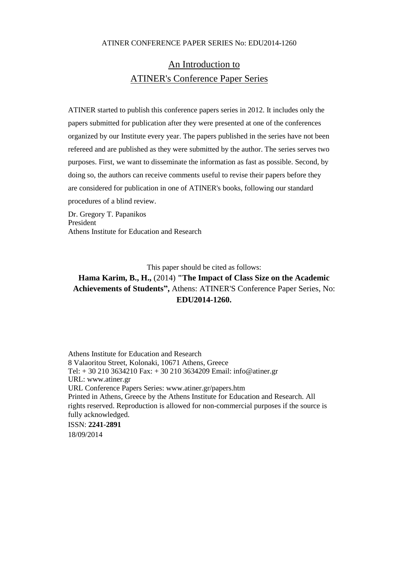## An Introduction to ATINER's Conference Paper Series

ATINER started to publish this conference papers series in 2012. It includes only the papers submitted for publication after they were presented at one of the conferences organized by our Institute every year. The papers published in the series have not been refereed and are published as they were submitted by the author. The series serves two purposes. First, we want to disseminate the information as fast as possible. Second, by doing so, the authors can receive comments useful to revise their papers before they are considered for publication in one of ATINER's books, following our standard procedures of a blind review.

Dr. Gregory T. Papanikos President Athens Institute for Education and Research

This paper should be cited as follows:

## **Hama Karim, B., H.,** (2014) **"The Impact of Class Size on the Academic Achievements of Students",** Athens: ATINER'S Conference Paper Series, No: **EDU2014-1260.**

Athens Institute for Education and Research 8 Valaoritou Street, Kolonaki, 10671 Athens, Greece Tel: + 30 210 3634210 Fax: + 30 210 3634209 Email: info@atiner.gr URL: www.atiner.gr URL Conference Papers Series: www.atiner.gr/papers.htm Printed in Athens, Greece by the Athens Institute for Education and Research. All rights reserved. Reproduction is allowed for non-commercial purposes if the source is fully acknowledged. ISSN: **2241-2891** 18/09/2014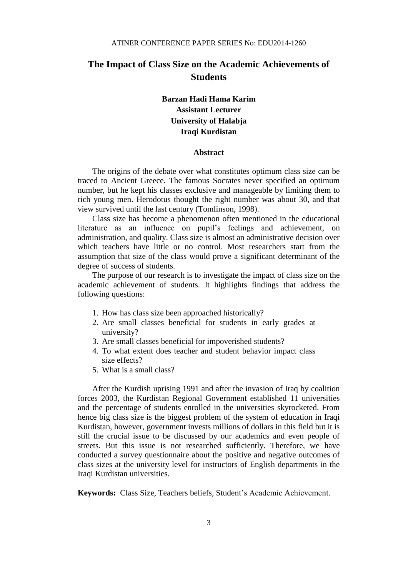## **The Impact of Class Size on the Academic Achievements of Students**

### **Barzan Hadi Hama Karim Assistant Lecturer University of Halabja Iraqi Kurdistan**

#### **Abstract**

The origins of the debate over what constitutes optimum class size can be traced to Ancient Greece. The famous Socrates never specified an optimum number, but he kept his classes exclusive and manageable by limiting them to rich young men. Herodotus thought the right number was about 30, and that view survived until the last century (Tomlinson, 1998).

Class size has become a phenomenon often mentioned in the educational literature as an influence on pupil's feelings and achievement, on administration, and quality. Class size is almost an administrative decision over which teachers have little or no control. Most researchers start from the assumption that size of the class would prove a significant determinant of the degree of success of students.

The purpose of our research is to investigate the impact of class size on the academic achievement of students. It highlights findings that address the following questions:

- 1. How has class size been approached historically?
- 2. Are small classes beneficial for students in early grades at university?
- 3. Are small classes beneficial for impoverished students?
- 4. To what extent does teacher and student behavior impact class size effects?
- 5. What is a small class?

After the Kurdish uprising 1991 and after the invasion of Iraq by coalition forces 2003, the Kurdistan Regional Government established 11 universities and the percentage of students enrolled in the universities skyrocketed. From hence big class size is the biggest problem of the system of education in Iraqi Kurdistan, however, government invests millions of dollars in this field but it is still the crucial issue to be discussed by our academics and even people of streets. But this issue is not researched sufficiently. Therefore, we have conducted a survey questionnaire about the positive and negative outcomes of class sizes at the university level for instructors of English departments in the Iraqi Kurdistan universities.

**Keywords:** Class Size, Teachers beliefs, Student's Academic Achievement.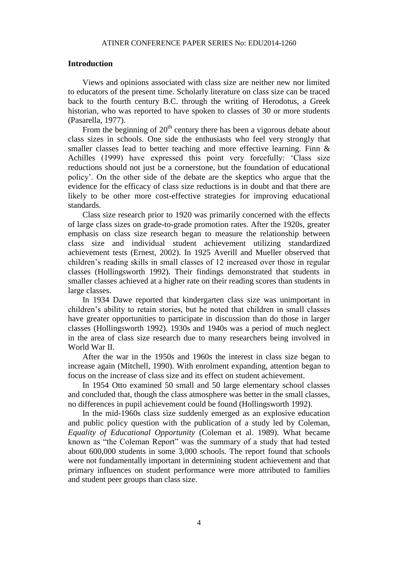#### **Introduction**

Views and opinions associated with class size are neither new nor limited to educators of the present time. Scholarly literature on class size can be traced back to the fourth century B.C. through the writing of Herodotus, a Greek historian, who was reported to have spoken to classes of 30 or more students (Pasarella, 1977).

From the beginning of  $20<sup>th</sup>$  century there has been a vigorous debate about class sizes in schools. One side the enthusiasts who feel very strongly that smaller classes lead to better teaching and more effective learning. Finn & Achilles (1999) have expressed this point very forcefully: 'Class size reductions should not just be a cornerstone, but the foundation of educational policy'. On the other side of the debate are the skeptics who argue that the evidence for the efficacy of class size reductions is in doubt and that there are likely to be other more cost-effective strategies for improving educational standards.

Class size research prior to 1920 was primarily concerned with the effects of large class sizes on grade-to-grade promotion rates. After the 1920s, greater emphasis on class size research began to measure the relationship between class size and individual student achievement utilizing standardized achievement tests (Ernest, 2002). In 1925 Averill and Mueller observed that children's reading skills in small classes of 12 increased over those in regular classes (Hollingsworth 1992). Their findings demonstrated that students in smaller classes achieved at a higher rate on their reading scores than students in large classes.

In 1934 Dawe reported that kindergarten class size was unimportant in children's ability to retain stories, but he noted that children in small classes have greater opportunities to participate in discussion than do those in larger classes (Hollingsworth 1992). 1930s and 1940s was a period of much neglect in the area of class size research due to many researchers being involved in World War II.

After the war in the 1950s and 1960s the interest in class size began to increase again (Mitchell, 1990). With enrolment expanding, attention began to focus on the increase of class size and its effect on student achievement.

In 1954 Otto examined 50 small and 50 large elementary school classes and concluded that, though the class atmosphere was better in the small classes, no differences in pupil achievement could be found (Hollingsworth 1992).

In the mid-1960s class size suddenly emerged as an explosive education and public policy question with the publication of a study led by Coleman, *Equality of Educational Opportunity* (Coleman et al. 1989). What became known as "the Coleman Report" was the summary of a study that had tested about 600,000 students in some 3,000 schools. The report found that schools were not fundamentally important in determining student achievement and that primary influences on student performance were more attributed to families and student peer groups than class size.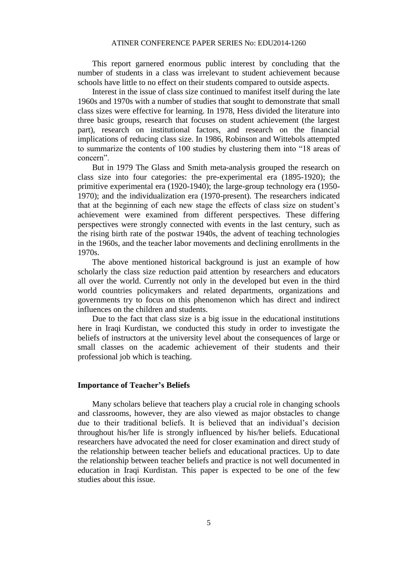This report garnered enormous public interest by concluding that the number of students in a class was irrelevant to student achievement because schools have little to no effect on their students compared to outside aspects.

Interest in the issue of class size continued to manifest itself during the late 1960s and 1970s with a number of studies that sought to demonstrate that small class sizes were effective for learning. In 1978, Hess divided the literature into three basic groups, research that focuses on student achievement (the largest part), research on institutional factors, and research on the financial implications of reducing class size. In 1986, Robinson and Wittebols attempted to summarize the contents of 100 studies by clustering them into "18 areas of concern".

But in 1979 The Glass and Smith meta-analysis grouped the research on class size into four categories: the pre-experimental era (1895-1920); the primitive experimental era (1920-1940); the large-group technology era (1950- 1970); and the individualization era (1970-present). The researchers indicated that at the beginning of each new stage the effects of class size on student's achievement were examined from different perspectives. These differing perspectives were strongly connected with events in the last century, such as the rising birth rate of the postwar 1940s, the advent of teaching technologies in the 1960s, and the teacher labor movements and declining enrollments in the 1970s.

The above mentioned historical background is just an example of how scholarly the class size reduction paid attention by researchers and educators all over the world. Currently not only in the developed but even in the third world countries policymakers and related departments, organizations and governments try to focus on this phenomenon which has direct and indirect influences on the children and students.

Due to the fact that class size is a big issue in the educational institutions here in Iraqi Kurdistan, we conducted this study in order to investigate the beliefs of instructors at the university level about the consequences of large or small classes on the academic achievement of their students and their professional job which is teaching.

#### **Importance of Teacher's Beliefs**

Many scholars believe that teachers play a crucial role in changing schools and classrooms, however, they are also viewed as major obstacles to change due to their traditional beliefs. It is believed that an individual's decision throughout his/her life is strongly influenced by his/her beliefs. Educational researchers have advocated the need for closer examination and direct study of the relationship between teacher beliefs and educational practices. Up to date the relationship between teacher beliefs and practice is not well documented in education in Iraqi Kurdistan. This paper is expected to be one of the few studies about this issue.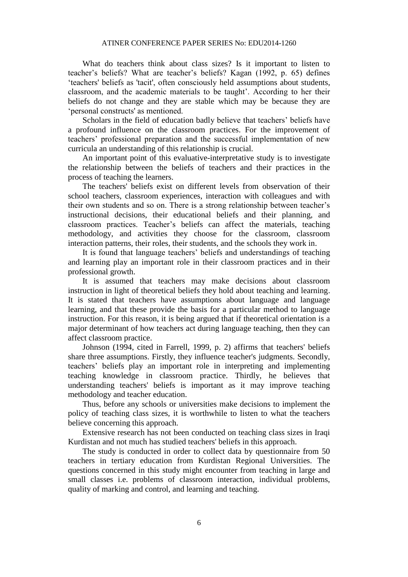What do teachers think about class sizes? Is it important to listen to teacher's beliefs? What are teacher's beliefs? Kagan (1992, p. 65) defines 'teachers' beliefs as 'tacit', often consciously held assumptions about students, classroom, and the academic materials to be taught'. According to her their beliefs do not change and they are stable which may be because they are 'personal constructs' as mentioned.

Scholars in the field of education badly believe that teachers' beliefs have a profound influence on the classroom practices. For the improvement of teachers' professional preparation and the successful implementation of new curricula an understanding of this relationship is crucial.

An important point of this evaluative-interpretative study is to investigate the relationship between the beliefs of teachers and their practices in the process of teaching the learners.

The teachers' beliefs exist on different levels from observation of their school teachers, classroom experiences, interaction with colleagues and with their own students and so on. There is a strong relationship between teacher's instructional decisions, their educational beliefs and their planning, and classroom practices. Teacher's beliefs can affect the materials, teaching methodology, and activities they choose for the classroom, classroom interaction patterns, their roles, their students, and the schools they work in.

It is found that language teachers' beliefs and understandings of teaching and learning play an important role in their classroom practices and in their professional growth.

It is assumed that teachers may make decisions about classroom instruction in light of theoretical beliefs they hold about teaching and learning. It is stated that teachers have assumptions about language and language learning, and that these provide the basis for a particular method to language instruction. For this reason, it is being argued that if theoretical orientation is a major determinant of how teachers act during language teaching, then they can affect classroom practice.

Johnson (1994, cited in Farrell, 1999, p. 2) affirms that teachers' beliefs share three assumptions. Firstly, they influence teacher's judgments. Secondly, teachers' beliefs play an important role in interpreting and implementing teaching knowledge in classroom practice. Thirdly, he believes that understanding teachers' beliefs is important as it may improve teaching methodology and teacher education.

Thus, before any schools or universities make decisions to implement the policy of teaching class sizes, it is worthwhile to listen to what the teachers believe concerning this approach.

Extensive research has not been conducted on teaching class sizes in Iraqi Kurdistan and not much has studied teachers' beliefs in this approach.

The study is conducted in order to collect data by questionnaire from 50 teachers in tertiary education from Kurdistan Regional Universities. The questions concerned in this study might encounter from teaching in large and small classes i.e. problems of classroom interaction, individual problems, quality of marking and control, and learning and teaching.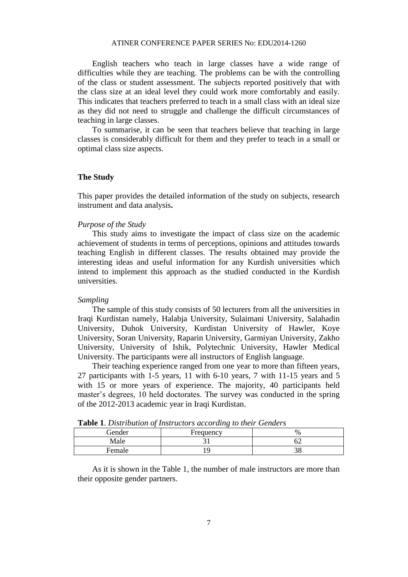English teachers who teach in large classes have a wide range of difficulties while they are teaching. The problems can be with the controlling of the class or student assessment. The subjects reported positively that with the class size at an ideal level they could work more comfortably and easily. This indicates that teachers preferred to teach in a small class with an ideal size as they did not need to struggle and challenge the difficult circumstances of teaching in large classes.

To summarise, it can be seen that teachers believe that teaching in large classes is considerably difficult for them and they prefer to teach in a small or optimal class size aspects.

#### **The Study**

This paper provides the detailed information of the study on subjects, research instrument and data analysis**.**

#### *Purpose of the Study*

This study aims to investigate the impact of class size on the academic achievement of students in terms of perceptions, opinions and attitudes towards teaching English in different classes. The results obtained may provide the interesting ideas and useful information for any Kurdish universities which intend to implement this approach as the studied conducted in the Kurdish universities.

#### *Sampling*

The sample of this study consists of 50 lecturers from all the universities in Iraqi Kurdistan namely, Halabja University, Sulaimani University, Salahadin University, Duhok University, Kurdistan University of Hawler, Koye University, Soran University, Raparin University, Garmiyan University, Zakho University, University of Ishik, Polytechnic University, Hawler Medical University. The participants were all instructors of English language.

Their teaching experience ranged from one year to more than fifteen years, 27 participants with 1-5 years, 11 with 6-10 years, 7 with 11-15 years and 5 with 15 or more years of experience. The majority, 40 participants held master's degrees, 10 held doctorates. The survey was conducted in the spring of the 2012-2013 academic year in Iraqi Kurdistan.

| <b>Table 1.</b> Distribution of their actors according to their Genacis |           |    |  |  |  |  |  |  |  |
|-------------------------------------------------------------------------|-----------|----|--|--|--|--|--|--|--|
| Gender                                                                  | Frequency | %  |  |  |  |  |  |  |  |
| Male                                                                    |           |    |  |  |  |  |  |  |  |
| <b>Female</b>                                                           |           | эo |  |  |  |  |  |  |  |

**Table 1**. *Distribution of Instructors according to their Genders*

As it is shown in the Table 1, the number of male instructors are more than their opposite gender partners.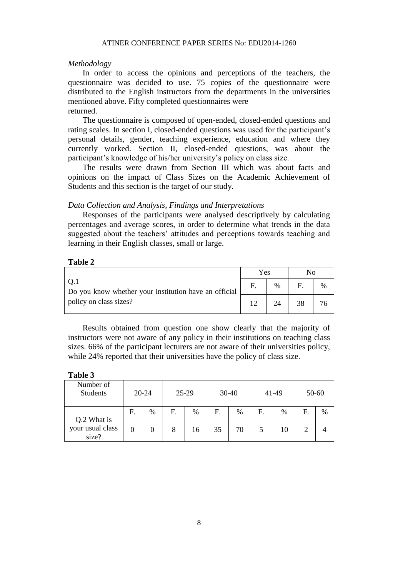#### *Methodology*

In order to access the opinions and perceptions of the teachers, the questionnaire was decided to use. 75 copies of the questionnaire were distributed to the English instructors from the departments in the universities mentioned above. Fifty completed questionnaires were returned.

The questionnaire is composed of open-ended, closed-ended questions and rating scales. In section I, closed-ended questions was used for the participant's personal details, gender, teaching experience, education and where they currently worked. Section II, closed-ended questions, was about the participant's knowledge of his/her university's policy on class size.

The results were drawn from Section III which was about facts and opinions on the impact of Class Sizes on the Academic Achievement of Students and this section is the target of our study.

#### *Data Collection and Analysis, Findings and Interpretations*

Responses of the participants were analysed descriptively by calculating percentages and average scores, in order to determine what trends in the data suggested about the teachers' attitudes and perceptions towards teaching and learning in their English classes, small or large.

#### **Table 2**

|                                                                                         | Yes |      |    |      |
|-----------------------------------------------------------------------------------------|-----|------|----|------|
| .O.1<br>Do you know whether your institution have an official<br>policy on class sizes? |     | $\%$ |    | $\%$ |
|                                                                                         |     | 24   | 38 |      |

Results obtained from question one show clearly that the majority of instructors were not aware of any policy in their institutions on teaching class sizes. 66% of the participant lecturers are not aware of their universities policy, while 24% reported that their universities have the policy of class size.

#### **Table 3**

| Number of<br><b>Students</b>             | $20 - 24$ |      | 25-29 |      | $30-40$ |      | 41-49 |      | 50-60 |   |
|------------------------------------------|-----------|------|-------|------|---------|------|-------|------|-------|---|
|                                          | F.        | $\%$ | F.    | $\%$ | F.      | $\%$ | F.    | $\%$ | F.    | % |
| Q.2 What is<br>your usual class<br>size? |           |      | 8     | 16   | 35      | 70   |       | 10   |       |   |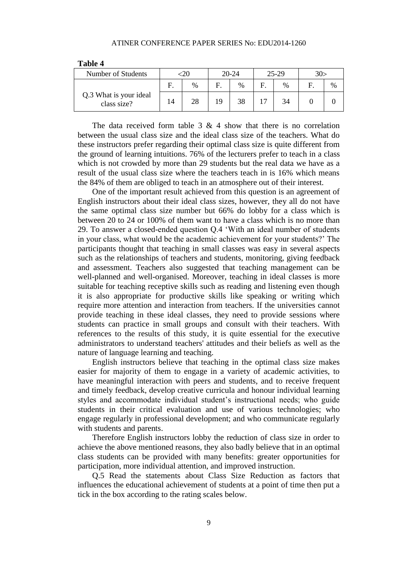| Number of Students                    | $\frac{0}{0}$ |    | 20-24 |   | 25-29 | 30> |      |
|---------------------------------------|---------------|----|-------|---|-------|-----|------|
|                                       |               |    | $\%$  | F | $\%$  |     | $\%$ |
| Q.3 What is your ideal<br>class size? | 28            | 19 | 38    |   | 34    |     |      |

**Table 4**

The data received form table  $3 \& 4$  show that there is no correlation between the usual class size and the ideal class size of the teachers. What do these instructors prefer regarding their optimal class size is quite different from the ground of learning intuitions. 76% of the lecturers prefer to teach in a class which is not crowded by more than 29 students but the real data we have as a result of the usual class size where the teachers teach in is 16% which means the 84% of them are obliged to teach in an atmosphere out of their interest.

One of the important result achieved from this question is an agreement of English instructors about their ideal class sizes, however, they all do not have the same optimal class size number but 66% do lobby for a class which is between 20 to 24 or 100% of them want to have a class which is no more than 29. To answer a closed-ended question Q.4 'With an ideal number of students in your class, what would be the academic achievement for your students?' The participants thought that teaching in small classes was easy in several aspects such as the relationships of teachers and students, monitoring, giving feedback and assessment. Teachers also suggested that teaching management can be well-planned and well-organised. Moreover, teaching in ideal classes is more suitable for teaching receptive skills such as reading and listening even though it is also appropriate for productive skills like speaking or writing which require more attention and interaction from teachers. If the universities cannot provide teaching in these ideal classes, they need to provide sessions where students can practice in small groups and consult with their teachers. With references to the results of this study, it is quite essential for the executive administrators to understand teachers' attitudes and their beliefs as well as the nature of language learning and teaching.

English instructors believe that teaching in the optimal class size makes easier for majority of them to engage in a variety of academic activities, to have meaningful interaction with peers and students, and to receive frequent and timely feedback, develop creative curricula and honour individual learning styles and accommodate individual student's instructional needs; who guide students in their critical evaluation and use of various technologies; who engage regularly in professional development; and who communicate regularly with students and parents.

Therefore English instructors lobby the reduction of class size in order to achieve the above mentioned reasons, they also badly believe that in an optimal class students can be provided with many benefits: greater opportunities for participation, more individual attention, and improved instruction.

Q.5 Read the statements about Class Size Reduction as factors that influences the educational achievement of students at a point of time then put a tick in the box according to the rating scales below.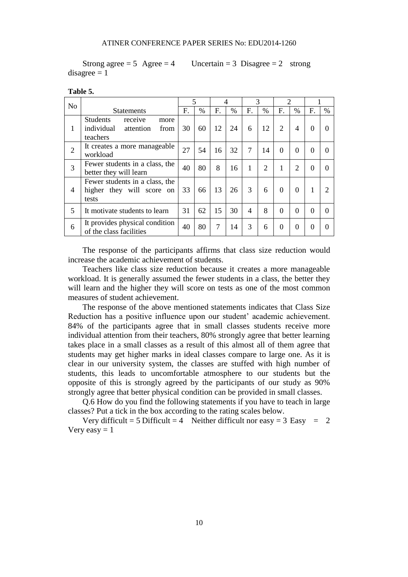Strong agree  $= 5$  Agree  $= 4$  Uncertain  $= 3$  Disagree  $= 2$  strong  $disagree = 1$ 

| N <sub>o</sub> |                                                                                   | 5  |      | 4  |               | 3                        |                | $\overline{c}$ |                |          |          |
|----------------|-----------------------------------------------------------------------------------|----|------|----|---------------|--------------------------|----------------|----------------|----------------|----------|----------|
|                | <b>Statements</b>                                                                 | F. | $\%$ | F. | $\frac{0}{0}$ | F.                       | %              | F.             | $\frac{0}{0}$  | F.       | %        |
| 1              | <b>Students</b><br>receive<br>more<br>individual<br>from<br>attention<br>teachers | 30 | 60   | 12 | 24            | 6                        | 12             | 2              | 4              | $\Omega$ | $\Omega$ |
| $\overline{2}$ | It creates a more manageable<br>workload                                          | 27 | 54   | 16 | 32            | $\overline{7}$           | 14             | $\theta$       | $\theta$       | 0        |          |
| 3              | Fewer students in a class, the<br>better they will learn                          | 40 | 80   | 8  | 16            | 1                        | $\overline{2}$ | 1              | $\overline{2}$ | $\Omega$ | $\Omega$ |
| 4              | Fewer students in a class, the<br>higher they will score on<br>tests              | 33 | 66   | 13 | 26            | 3                        | 6              | $\Omega$       | $\Omega$       | 1        |          |
| 5              | It motivate students to learn                                                     | 31 | 62   | 15 | 30            | $\overline{\mathcal{A}}$ | 8              | $\theta$       | $\Omega$       | $\Omega$ | 0        |
| 6              | It provides physical condition<br>of the class facilities                         | 40 | 80   | 7  | 14            | 3                        | 6              | $\overline{0}$ | $\theta$       | $\Omega$ |          |

#### **Table 5.**

The response of the participants affirms that class size reduction would increase the academic achievement of students.

Teachers like class size reduction because it creates a more manageable workload. It is generally assumed the fewer students in a class, the better they will learn and the higher they will score on tests as one of the most common measures of student achievement.

The response of the above mentioned statements indicates that Class Size Reduction has a positive influence upon our student' academic achievement. 84% of the participants agree that in small classes students receive more individual attention from their teachers, 80% strongly agree that better learning takes place in a small classes as a result of this almost all of them agree that students may get higher marks in ideal classes compare to large one. As it is clear in our university system, the classes are stuffed with high number of students, this leads to uncomfortable atmosphere to our students but the opposite of this is strongly agreed by the participants of our study as 90% strongly agree that better physical condition can be provided in small classes.

Q.6 How do you find the following statements if you have to teach in large classes? Put a tick in the box according to the rating scales below.

Very difficult = 5 Difficult = 4 Neither difficult nor easy = 3 Easy = 2 Very easy  $= 1$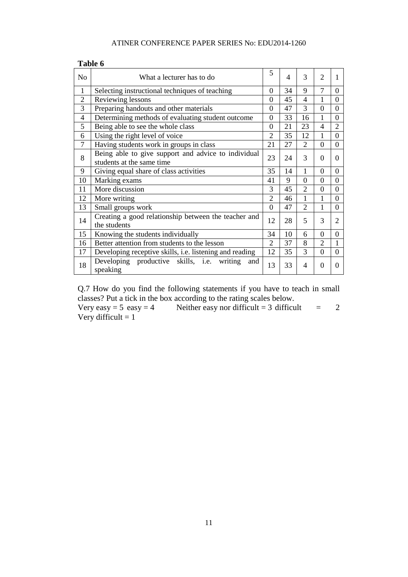| n<br>Η<br>. .<br>۰. |  |
|---------------------|--|
|---------------------|--|

| N <sub>o</sub> | What a lecturer has to do                                                        | 5              | 4  | 3              | $\overline{2}$ |                |
|----------------|----------------------------------------------------------------------------------|----------------|----|----------------|----------------|----------------|
| $\mathbf{1}$   | Selecting instructional techniques of teaching                                   | $\theta$       | 34 | 9              | $\tau$         | $\Omega$       |
| $\overline{2}$ | Reviewing lessons                                                                | $\theta$       | 45 | 4              |                | $\Omega$       |
| 3              | Preparing handouts and other materials                                           | $\overline{0}$ | 47 | 3              | $\overline{0}$ | $\Omega$       |
| $\overline{4}$ | Determining methods of evaluating student outcome                                | $\overline{0}$ | 33 | 16             | 1              | $\Omega$       |
| 5              | Being able to see the whole class                                                | $\theta$       | 21 | 23             | 4              | $\overline{2}$ |
| 6              | Using the right level of voice                                                   | $\overline{2}$ | 35 | 12             | 1              | $\Omega$       |
| $\overline{7}$ | Having students work in groups in class                                          | 21             | 27 | $\overline{2}$ | $\overline{0}$ | $\theta$       |
| 8              | Being able to give support and advice to individual<br>students at the same time | 23             | 24 | 3              | $\Omega$       | $\Omega$       |
| 9              | Giving equal share of class activities                                           | 35             | 14 | 1              | $\Omega$       | $\Omega$       |
| 10             | Marking exams                                                                    | 41             | 9  | $\overline{0}$ | $\overline{0}$ | $\Omega$       |
| 11             | More discussion                                                                  | 3              | 45 | $\overline{2}$ | $\Omega$       | $\Omega$       |
| 12             | More writing                                                                     | $\mathfrak{D}$ | 46 | 1              | 1              | $\Omega$       |
| 13             | Small groups work                                                                | $\Omega$       | 47 | $\overline{2}$ | 1              | $\Omega$       |
| 14             | Creating a good relationship between the teacher and<br>the students             | 12             | 28 | 5              | 3              | $\overline{2}$ |
| 15             | Knowing the students individually                                                | 34             | 10 | 6              | $\theta$       | $\Omega$       |
| 16             | Better attention from students to the lesson                                     | $\mathfrak{D}$ | 37 | 8              | $\overline{2}$ | 1              |
| 17             | Developing receptive skills, i.e. listening and reading                          | 12             | 35 | 3              | $\overline{0}$ | $\Omega$       |
| 18             | Developing productive skills, i.e.<br>writing<br>and<br>speaking                 | 13             | 33 | 4              | $\Omega$       | $\Omega$       |

Q.7 How do you find the following statements if you have to teach in small classes? Put a tick in the box according to the rating scales below.<br>Very easy = 5 easy = 4 Neither easy nor difficult = 3 difficult

Neither easy nor difficult = difficult = 2 Very difficult  $= 1$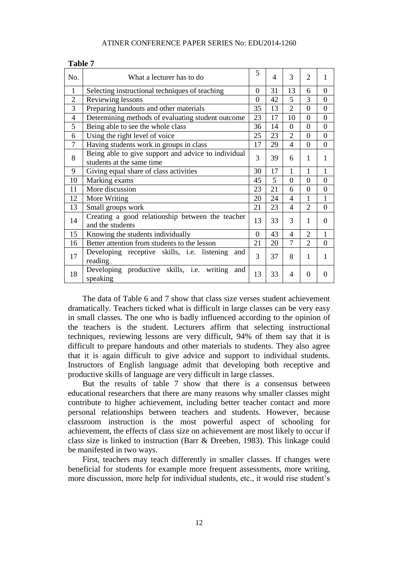| No.            | What a lecturer has to do                                                        | 5              | $\overline{4}$ | 3                        | $\overline{2}$ | 1        |
|----------------|----------------------------------------------------------------------------------|----------------|----------------|--------------------------|----------------|----------|
| 1              | Selecting instructional techniques of teaching                                   | 0              | 31             | 13                       | 6              | $\Omega$ |
| $\overline{2}$ | Reviewing lessons                                                                | $\Omega$       | 42             | 5                        | 3              | $\Omega$ |
| 3              | Preparing handouts and other materials                                           | 35             | 13             | $\overline{2}$           | $\theta$       | $\Omega$ |
| $\overline{4}$ | Determining methods of evaluating student outcome                                | 23             | 17             | 10                       | $\overline{0}$ | $\theta$ |
| 5              | Being able to see the whole class                                                | 36             | 14             | $\theta$                 | $\overline{0}$ | $\Omega$ |
| 6              | Using the right level of voice                                                   | 25             | 23             | $\overline{2}$           | $\Omega$       | $\Omega$ |
| 7              | Having students work in groups in class                                          | 17             | 29             | $\overline{4}$           | $\overline{0}$ | $\theta$ |
| 8              | Being able to give support and advice to individual<br>students at the same time |                | 39             | 6                        | 1              | 1        |
| 9              | Giving equal share of class activities                                           | 30             | 17             | 1                        | 1              | 1        |
| 10             | Marking exams                                                                    | 45             | 5              | $\Omega$                 | $\theta$       | $\theta$ |
| 11             | More discussion                                                                  | 23             | 21             | 6                        | $\theta$       | $\Omega$ |
| 12             | More Writing                                                                     | 20             | 24             | $\overline{4}$           | 1              | 1        |
| 13             | Small groups work                                                                | 21             | 23             | $\overline{\mathcal{A}}$ | $\overline{2}$ | $\Omega$ |
| 14             | Creating a good relationship between the teacher<br>and the students             | 13             | 33             | 3                        | 1              | $\Omega$ |
| 15             | Knowing the students individually                                                | $\overline{0}$ | 43             | $\overline{\mathcal{A}}$ | $\overline{2}$ | 1        |
| 16             | Better attention from students to the lesson                                     | 21             | 20             | 7                        | $\overline{2}$ | $\Omega$ |
| 17             | Developing receptive skills, i.e. listening<br>and<br>reading                    | 3              | 37             | 8                        | 1              | 1        |
| 18             | Developing productive skills, i.e. writing<br>and<br>speaking                    | 13             | 33             | 4                        | $\theta$       | 0        |

| H |  |
|---|--|
|---|--|

The data of Table 6 and 7 show that class size verses student achievement dramatically. Teachers ticked what is difficult in large classes can be very easy in small classes. The one who is badly influenced according to the opinion of the teachers is the student. Lecturers affirm that selecting instructional techniques, reviewing lessons are very difficult, 94% of them say that it is difficult to prepare handouts and other materials to students. They also agree that it is again difficult to give advice and support to individual students. Instructors of English language admit that developing both receptive and productive skills of language are very difficult in large classes.

But the results of table 7 show that there is a consensus between educational researchers that there are many reasons why smaller classes might contribute to higher achievement, including better teacher contact and more personal relationships between teachers and students. However, because classroom instruction is the most powerful aspect of schooling for achievement, the effects of class size on achievement are most likely to occur if class size is linked to instruction (Barr & Dreeben, 1983). This linkage could be manifested in two ways.

First, teachers may teach differently in smaller classes. If changes were beneficial for students for example more frequent assessments, more writing, more discussion, more help for individual students, etc., it would rise student's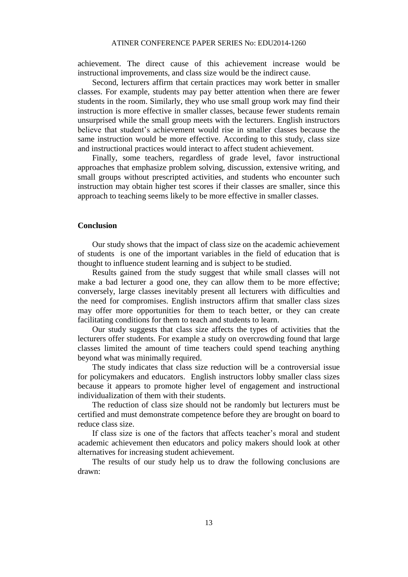achievement. The direct cause of this achievement increase would be instructional improvements, and class size would be the indirect cause.

Second, lecturers affirm that certain practices may work better in smaller classes. For example, students may pay better attention when there are fewer students in the room. Similarly, they who use small group work may find their instruction is more effective in smaller classes, because fewer students remain unsurprised while the small group meets with the lecturers. English instructors believe that student's achievement would rise in smaller classes because the same instruction would be more effective. According to this study, class size and instructional practices would interact to affect student achievement.

Finally, some teachers, regardless of grade level, favor instructional approaches that emphasize problem solving, discussion, extensive writing, and small groups without prescripted activities, and students who encounter such instruction may obtain higher test scores if their classes are smaller, since this approach to teaching seems likely to be more effective in smaller classes.

#### **Conclusion**

Our study shows that the impact of class size on the academic achievement of students is one of the important variables in the field of education that is thought to influence student learning and is subject to be studied.

Results gained from the study suggest that while small classes will not make a bad lecturer a good one, they can allow them to be more effective; conversely, large classes inevitably present all lecturers with difficulties and the need for compromises. English instructors affirm that smaller class sizes may offer more opportunities for them to teach better, or they can create facilitating conditions for them to teach and students to learn.

Our study suggests that class size affects the types of activities that the lecturers offer students. For example a study on overcrowding found that large classes limited the amount of time teachers could spend teaching anything beyond what was minimally required.

The study indicates that class size reduction will be a controversial issue for policymakers and educators. English instructors lobby smaller class sizes because it appears to promote higher level of engagement and instructional individualization of them with their students.

The reduction of class size should not be randomly but lecturers must be certified and must demonstrate competence before they are brought on board to reduce class size.

If class size is one of the factors that affects teacher's moral and student academic achievement then educators and policy makers should look at other alternatives for increasing student achievement.

The results of our study help us to draw the following conclusions are drawn: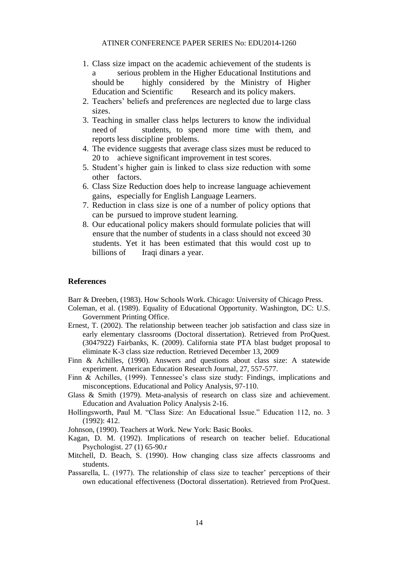- 1. Class size impact on the academic achievement of the students is a serious problem in the Higher Educational Institutions and should be highly considered by the Ministry of Higher Education and Scientific Research and its policy makers.
- 2. Teachers' beliefs and preferences are neglected due to large class sizes.
- 3. Teaching in smaller class helps lecturers to know the individual need of students, to spend more time with them, and reports less discipline problems.
- 4. The evidence suggests that average class sizes must be reduced to 20 to achieve significant improvement in test scores.
- 5. Student's higher gain is linked to class size reduction with some other factors.
- 6. Class Size Reduction does help to increase language achievement gains, especially for English Language Learners.
- 7. Reduction in class size is one of a number of policy options that can be pursued to improve student learning.
- 8. Our educational policy makers should formulate policies that will ensure that the number of students in a class should not exceed 30 students. Yet it has been estimated that this would cost up to billions of Iraqi dinars a year.

#### **References**

Barr & Dreeben, (1983). How Schools Work. Chicago: University of Chicago Press.

- Coleman, et al. (1989). Equality of Educational Opportunity. Washington, DC: U.S. Government Printing Office.
- Ernest, T. (2002). The relationship between teacher job satisfaction and class size in early elementary classrooms (Doctoral dissertation). Retrieved from ProQuest. (3047922) Fairbanks, K. (2009). California state PTA blast budget proposal to eliminate K-3 class size reduction. Retrieved December 13, 2009
- Finn & Achilles, (1990). Answers and questions about class size: A statewide experiment. American Education Research Journal, 27, 557-577.
- Finn & Achilles, (1999). Tennessee's class size study: Findings, implications and misconceptions. Educational and Policy Analysis, 97-110.
- Glass & Smith (1979). Meta-analysis of research on class size and achievement. Education and Avaluation Policy Analysis 2-16.
- Hollingsworth, Paul M. "Class Size: An Educational Issue." Education 112, no. 3 (1992): 412.
- Johnson, (1990). Teachers at Work. New York: Basic Books.
- Kagan, D. M. (1992). Implications of research on teacher belief. Educational Psychologist. 27 (1) 65-90.r
- Mitchell, D. Beach, S. (1990). How changing class size affects classrooms and students.
- Passarella, L. (1977). The relationship of class size to teacher' perceptions of their own educational effectiveness (Doctoral dissertation). Retrieved from ProQuest.